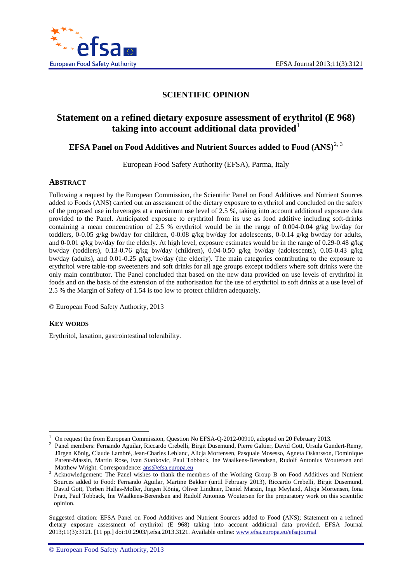

# **SCIENTIFIC OPINION**

# **Statement on a refined dietary exposure assessment of erythritol (E 968) taking into account additional data provided**

### **EFSA Panel on Food Additives and Nutrient Sources added to Food (ANS)<sup>[2,](#page-0-1) [3](#page-0-2)</sup>**

European Food Safety Authority (EFSA), Parma, Italy

#### <span id="page-0-3"></span>**ABSTRACT**

Following a request by the European Commission, the Scientific Panel on Food Additives and Nutrient Sources added to Foods (ANS) carried out an assessment of the dietary exposure to erythritol and concluded on the safety of the proposed use in beverages at a maximum use level of 2.5 %, taking into account additional exposure data provided to the Panel. Anticipated exposure to erythritol from its use as food additive including soft-drinks containing a mean concentration of 2.5 % erythritol would be in the range of 0.004-0.04 g/kg bw/day for toddlers, 0-0.05 g/kg bw/day for children, 0-0.08 g/kg bw/day for adolescents, 0-0.14 g/kg bw/day for adults, and 0-0.01 g/kg bw/day for the elderly. At high level, exposure estimates would be in the range of 0.29-0.48 g/kg bw/day (toddlers), 0.13-0.76 g/kg bw/day (children), 0.04-0.50 g/kg bw/day (adolescents), 0.05-0.43 g/kg bw/day (adults), and 0.01-0.25 g/kg bw/day (the elderly). The main categories contributing to the exposure to erythritol were table-top sweeteners and soft drinks for all age groups except toddlers where soft drinks were the only main contributor. The Panel concluded that based on the new data provided on use levels of erythritol in foods and on the basis of the extension of the authorisation for the use of erythritol to soft drinks at a use level of 2.5 % the Margin of Safety of 1.54 is too low to protect children adequately.

© European Food Safety Authority, 2013

#### **KEY WORDS**

Erythritol, laxation, gastrointestinal tolerability.

<sup>1</sup> On request the from European Commission, Question No EFSA-Q-2012-00910, adopted on 20 February 2013. <sup>2</sup> Panel members: Fernando Aguilar, Riccardo Crebelli, Birgit Dusemund, Pierre Galtier, David Gott, Ursula Gundert-Remy,

<span id="page-0-1"></span><span id="page-0-0"></span>Jürgen König, Claude Lambré, Jean-Charles Leblanc, Alicja Mortensen, Pasquale Mosesso, Agneta Oskarsson, Dominique Parent-Massin, Martin Rose, Ivan Stankovic, Paul Tobback, Ine Waalkens-Berendsen, Rudolf Antonius Woutersen and<br>Matthew Wright. Correspondence: ans@efsa.europa.eu

<span id="page-0-2"></span>Acknowledgement: The Panel wishes to thank the members of the Working Group B on Food Additives and Nutrient Sources added to Food: Fernando Aguilar, Martine Bakker (until February 2013), Riccardo Crebelli, Birgit Dusemund, David Gott, Torben Hallas-Møller, Jürgen König, Oliver Lindtner, Daniel Marzin, Inge Meyland, Alicja Mortensen, Iona Pratt, Paul Tobback, Ine Waalkens-Berendsen and Rudolf Antonius Woutersen for the preparatory work on this scientific opinion.

Suggested citation: EFSA Panel on Food Additives and Nutrient Sources added to Food (ANS); Statement on a refined dietary exposure assessment of erythritol (E 968) taking into account additional data provided. EFSA Journal 2013;11(3):3121. [11 pp.] doi:10.2903/j.efsa.2013.3121. Available online: [www.efsa.europa.eu/efsajournal](http://www.efsa.europa.eu/efsajournal)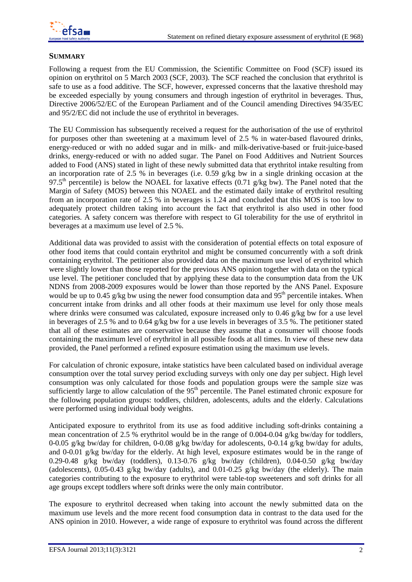## **SUMMARY**

Following a request from the EU Commission, the Scientific Committee on Food (SCF) issued its opinion on erythritol on 5 March 2003 (SCF, 2003). The SCF reached the conclusion that erythritol is safe to use as a food additive. The SCF, however, expressed concerns that the laxative threshold may be exceeded especially by young consumers and through ingestion of erythritol in beverages. Thus, Directive 2006/52/EC of the European Parliament and of the Council amending Directives 94/35/EC and 95/2/EC did not include the use of erythritol in beverages.

The EU Commission has subsequently received a request for the authorisation of the use of erythritol for purposes other than sweetening at a maximum level of 2.5 % in water-based flavoured drinks, energy-reduced or with no added sugar and in milk- and milk-derivative-based or fruit-juice-based drinks, energy-reduced or with no added sugar. The Panel on Food Additives and Nutrient Sources added to Food (ANS) stated in light of these newly submitted data that erythritol intake resulting from an incorporation rate of 2.5 % in beverages (i.e. 0.59 g/kg bw in a single drinking occasion at the 97.5<sup>th</sup> percentile) is below the NOAEL for laxative effects (0.71 g/kg bw). The Panel noted that the Margin of Safety (MOS) between this NOAEL and the estimated daily intake of erythritol resulting from an incorporation rate of 2.5 % in beverages is 1.24 and concluded that this MOS is too low to adequately protect children taking into account the fact that erythritol is also used in other food categories. A safety concern was therefore with respect to GI tolerability for the use of erythritol in beverages at a maximum use level of 2.5 %.

Additional data was provided to assist with the consideration of potential effects on total exposure of other food items that could contain erythritol and might be consumed concurrently with a soft drink containing erythritol. The petitioner also provided data on the maximum use level of erythritol which were slightly lower than those reported for the previous ANS opinion together with data on the typical use level. The petitioner concluded that by applying these data to the consumption data from the UK NDNS from 2008-2009 exposures would be lower than those reported by the ANS Panel. Exposure would be up to 0.45 g/kg bw using the newer food consumption data and  $95<sup>th</sup>$  percentile intakes. When concurrent intake from drinks and all other foods at their maximum use level for only those meals where drinks were consumed was calculated, exposure increased only to 0.46 g/kg bw for a use level in beverages of 2.5 % and to 0.64 g/kg bw for a use levels in beverages of 3.5 %. The petitioner stated that all of these estimates are conservative because they assume that a consumer will choose foods containing the maximum level of erythritol in all possible foods at all times. In view of these new data provided, the Panel performed a refined exposure estimation using the maximum use levels.

For calculation of chronic exposure, intake statistics have been calculated based on individual average consumption over the total survey period excluding surveys with only one day per subject. High level consumption was only calculated for those foods and population groups were the sample size was sufficiently large to allow calculation of the  $95<sup>th</sup>$  percentile. The Panel estimated chronic exposure for the following population groups: toddlers, children, adolescents, adults and the elderly. Calculations were performed using individual body weights.

Anticipated exposure to erythritol from its use as food additive including soft-drinks containing a mean concentration of 2.5 % erythritol would be in the range of 0.004-0.04 g/kg bw/day for toddlers, 0-0.05 g/kg bw/day for children, 0-0.08 g/kg bw/day for adolescents, 0-0.14 g/kg bw/day for adults, and 0-0.01 g/kg bw/day for the elderly. At high level, exposure estimates would be in the range of 0.29-0.48 g/kg bw/day (toddlers), 0.13-0.76 g/kg bw/day (children), 0.04-0.50 g/kg bw/day (adolescents), 0.05-0.43 g/kg bw/day (adults), and 0.01-0.25 g/kg bw/day (the elderly). The main categories contributing to the exposure to erythritol were table-top sweeteners and soft drinks for all age groups except toddlers where soft drinks were the only main contributor.

The exposure to erythritol decreased when taking into account the newly submitted data on the maximum use levels and the more recent food consumption data in contrast to the data used for the ANS opinion in 2010. However, a wide range of exposure to erythritol was found across the different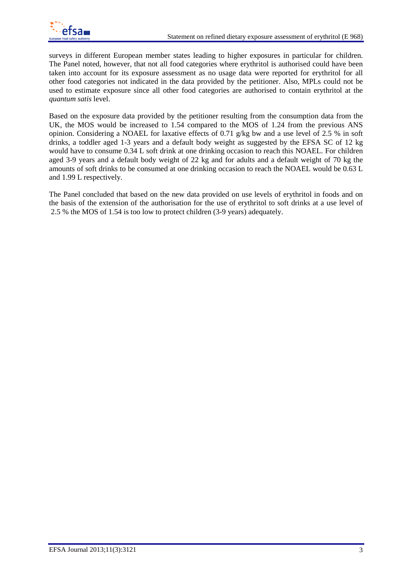

surveys in different European member states leading to higher exposures in particular for children. The Panel noted, however, that not all food categories where erythritol is authorised could have been taken into account for its exposure assessment as no usage data were reported for erythritol for all other food categories not indicated in the data provided by the petitioner. Also, MPLs could not be used to estimate exposure since all other food categories are authorised to contain erythritol at the *quantum satis* level.

Based on the exposure data provided by the petitioner resulting from the consumption data from the UK, the MOS would be increased to 1.54 compared to the MOS of 1.24 from the previous ANS opinion. Considering a NOAEL for laxative effects of 0.71 g/kg bw and a use level of 2.5 % in soft drinks, a toddler aged 1-3 years and a default body weight as suggested by the EFSA SC of 12 kg would have to consume 0.34 L soft drink at one drinking occasion to reach this NOAEL. For children aged 3-9 years and a default body weight of 22 kg and for adults and a default weight of 70 kg the amounts of soft drinks to be consumed at one drinking occasion to reach the NOAEL would be 0.63 L and 1.99 L respectively.

The Panel concluded that based on the new data provided on use levels of erythritol in foods and on the basis of the extension of the authorisation for the use of erythritol to soft drinks at a use level of 2.5 % the MOS of 1.54 is too low to protect children (3-9 years) adequately.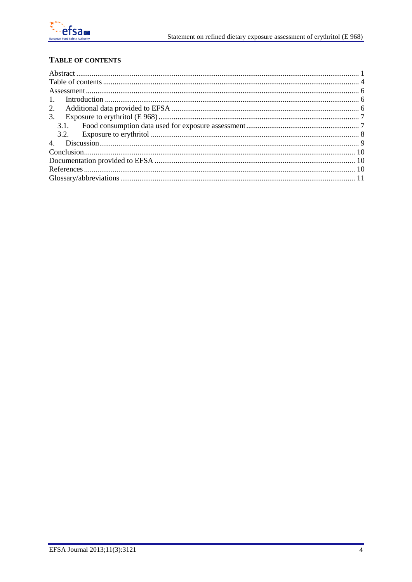

# <span id="page-3-0"></span>**TABLE OF CONTENTS**

| $\mathbf{1}$  |  |  |
|---------------|--|--|
|               |  |  |
| $\mathcal{E}$ |  |  |
| 3.1.          |  |  |
| 3.2.          |  |  |
|               |  |  |
|               |  |  |
|               |  |  |
|               |  |  |
|               |  |  |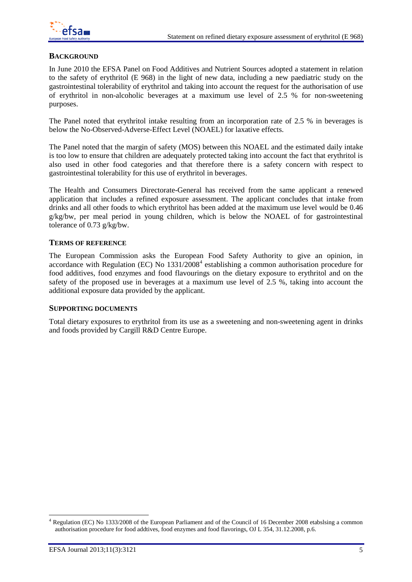

#### **BACKGROUND**

In June 2010 the EFSA Panel on Food Additives and Nutrient Sources adopted a statement in relation to the safety of erythritol (E 968) in the light of new data, including a new paediatric study on the gastrointestinal tolerability of erythritol and taking into account the request for the authorisation of use of erythritol in non-alcoholic beverages at a maximum use level of 2.5 % for non-sweetening purposes.

The Panel noted that erythritol intake resulting from an incorporation rate of 2.5 % in beverages is below the No-Observed-Adverse-Effect Level (NOAEL) for laxative effects.

The Panel noted that the margin of safety (MOS) between this NOAEL and the estimated daily intake is too low to ensure that children are adequately protected taking into account the fact that erythritol is also used in other food categories and that therefore there is a safety concern with respect to gastrointestinal tolerability for this use of erythritol in beverages.

The Health and Consumers Directorate-General has received from the same applicant a renewed application that includes a refined exposure assessment. The applicant concludes that intake from drinks and all other foods to which erythritol has been added at the maximum use level would be 0.46  $g/kg/bw$ , per meal period in young children, which is below the NOAEL of for gastrointestinal tolerance of 0.73 g/kg/bw.

#### **TERMS OF REFERENCE**

The European Commission asks the European Food Safety Authority to give an opinion, in accordance with Regulation (EC) No  $1331/2008<sup>4</sup>$  $1331/2008<sup>4</sup>$  $1331/2008<sup>4</sup>$  establishing a common authorisation procedure for food additives, food enzymes and food flavourings on the dietary exposure to erythritol and on the safety of the proposed use in beverages at a maximum use level of 2.5 %, taking into account the additional exposure data provided by the applicant.

#### **SUPPORTING DOCUMENTS**

Total dietary exposures to erythritol from its use as a sweetening and non-sweetening agent in drinks and foods provided by Cargill R&D Centre Europe.

<span id="page-4-0"></span> <sup>4</sup> Regulation (EC) No 1333/2008 of the European Parliament and of the Council of 16 December 2008 etabslsing a common authorisation procedure for food addtives, food enzymes and food flavorings, OJ L 354, 31.12.2008, p.6.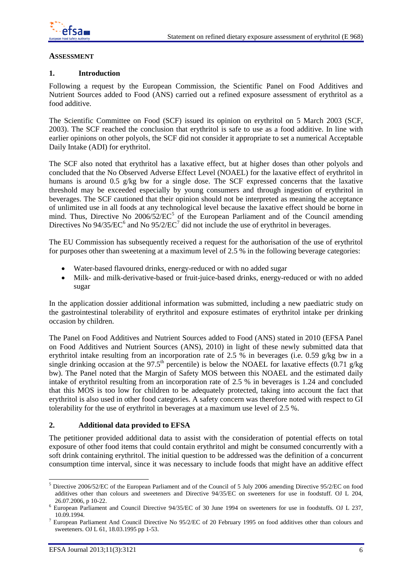

#### <span id="page-5-0"></span>**ASSESSMENT**

#### <span id="page-5-1"></span>**1. Introduction**

Following a request by the European Commission, the Scientific Panel on Food Additives and Nutrient Sources added to Food (ANS) carried out a refined exposure assessment of erythritol as a food additive.

The Scientific Committee on Food (SCF) issued its opinion on erythritol on 5 March 2003 (SCF, 2003). The SCF reached the conclusion that erythritol is safe to use as a food additive. In line with earlier opinions on other polyols, the SCF did not consider it appropriate to set a numerical Acceptable Daily Intake (ADI) for erythritol.

The SCF also noted that erythritol has a laxative effect, but at higher doses than other polyols and concluded that the No Observed Adverse Effect Level (NOAEL) for the laxative effect of erythritol in humans is around 0.5 g/kg bw for a single dose. The SCF expressed concerns that the laxative threshold may be exceeded especially by young consumers and through ingestion of erythritol in beverages. The SCF cautioned that their opinion should not be interpreted as meaning the acceptance of unlimited use in all foods at any technological level because the laxative effect should be borne in mind. Thus, Directive No  $2006/52/EC^5$  $2006/52/EC^5$  $2006/52/EC^5$  of the European Parliament and of the Council amending Directives No 94/35/EC<sup>[6](#page-5-4)</sup> and No 95/2/EC<sup>[7](#page-5-5)</sup> did not include the use of erythritol in beverages.

The EU Commission has subsequently received a request for the authorisation of the use of erythritol for purposes other than sweetening at a maximum level of 2.5 % in the following beverage categories:

- Water-based flavoured drinks, energy-reduced or with no added sugar
- Milk- and milk-derivative-based or fruit-juice-based drinks, energy-reduced or with no added sugar

In the application dossier additional information was submitted, including a new paediatric study on the gastrointestinal tolerability of erythritol and exposure estimates of erythritol intake per drinking occasion by children.

The Panel on Food Additives and Nutrient Sources added to Food (ANS) stated in 2010 (EFSA Panel on Food Additives and Nutrient Sources (ANS), 2010) in light of these newly submitted data that erythritol intake resulting from an incorporation rate of 2.5 % in beverages (i.e. 0.59 g/kg bw in a single drinking occasion at the 97.5<sup>th</sup> percentile) is below the NOAEL for laxative effects (0.71 g/kg) bw). The Panel noted that the Margin of Safety MOS between this NOAEL and the estimated daily intake of erythritol resulting from an incorporation rate of 2.5 % in beverages is 1.24 and concluded that this MOS is too low for children to be adequately protected, taking into account the fact that erythritol is also used in other food categories. A safety concern was therefore noted with respect to GI tolerability for the use of erythritol in beverages at a maximum use level of 2.5 %.

#### <span id="page-5-2"></span>**2. Additional data provided to EFSA**

The petitioner provided additional data to assist with the consideration of potential effects on total exposure of other food items that could contain erythritol and might be consumed concurrently with a soft drink containing erythritol. The initial question to be addressed was the definition of a concurrent consumption time interval, since it was necessary to include foods that might have an additive effect

<span id="page-5-3"></span> <sup>5</sup> Directive 2006/52/EC of the European Parliament and of the Council of 5 July 2006 amending Directive 95/2/EC on food additives other than colours and sweeteners and Directive 94/35/EC on sweeteners for use in foodstuff. OJ L 204,

<span id="page-5-4"></span><sup>26.07.2006,</sup> p 10-22. <sup>6</sup> European Parliament and Council Directive 94/35/EC of 30 June 1994 on sweeteners for use in foodstuffs. OJ L 237,

<span id="page-5-5"></span><sup>10.09.1994.&</sup>lt;br><sup>7</sup> European Parliament And Council Directive No 95/2/EC of 20 February 1995 on food additives other than colours and sweeteners. OJ L 61, 18.03.1995 pp 1-53.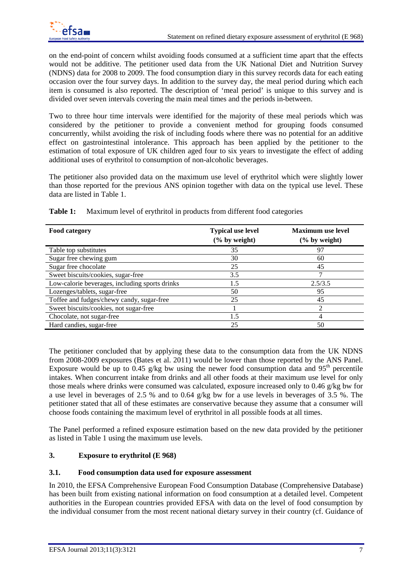on the end-point of concern whilst avoiding foods consumed at a sufficient time apart that the effects would not be additive. The petitioner used data from the UK National Diet and Nutrition Survey (NDNS) data for 2008 to 2009. The food consumption diary in this survey records data for each eating occasion over the four survey days. In addition to the survey day, the meal period during which each item is consumed is also reported. The description of 'meal period' is unique to this survey and is divided over seven intervals covering the main meal times and the periods in-between.

Two to three hour time intervals were identified for the majority of these meal periods which was considered by the petitioner to provide a convenient method for grouping foods consumed concurrently, whilst avoiding the risk of including foods where there was no potential for an additive effect on gastrointestinal intolerance. This approach has been applied by the petitioner to the estimation of total exposure of UK children aged four to six years to investigate the effect of adding additional uses of erythritol to consumption of non-alcoholic beverages.

The petitioner also provided data on the maximum use level of erythritol which were slightly lower than those reported for the previous ANS opinion together with data on the typical use level. These data are listed in Table 1.

| Food category                                  | <b>Typical use level</b><br>$(\%$ by weight) | <b>Maximum</b> use level<br>$(\%$ by weight) |
|------------------------------------------------|----------------------------------------------|----------------------------------------------|
| Table top substitutes                          | 35                                           | 97                                           |
| Sugar free chewing gum                         | 30                                           | 60                                           |
| Sugar free chocolate                           | 25                                           | 45                                           |
| Sweet biscuits/cookies, sugar-free             | 3.5                                          |                                              |
| Low-calorie beverages, including sports drinks | 1.5                                          | 2.5/3.5                                      |
| Lozenges/tablets, sugar-free                   | 50                                           | 95                                           |
| Toffee and fudges/chewy candy, sugar-free      | 25                                           | 45                                           |
| Sweet biscuits/cookies, not sugar-free         |                                              | $\mathfrak{D}$                               |
| Chocolate, not sugar-free                      | 1.5                                          | 4                                            |
| Hard candies, sugar-free                       | 25                                           | 50                                           |

**Table 1:** Maximum level of erythritol in products from different food categories

The petitioner concluded that by applying these data to the consumption data from the UK NDNS from 2008-2009 exposures (Bates et al. 2011) would be lower than those reported by the ANS Panel. Exposure would be up to 0.45 g/kg bw using the newer food consumption data and  $95<sup>th</sup>$  percentile intakes. When concurrent intake from drinks and all other foods at their maximum use level for only those meals where drinks were consumed was calculated, exposure increased only to 0.46 g/kg bw for a use level in beverages of 2.5 % and to 0.64 g/kg bw for a use levels in beverages of 3.5 %. The petitioner stated that all of these estimates are conservative because they assume that a consumer will choose foods containing the maximum level of erythritol in all possible foods at all times.

The Panel performed a refined exposure estimation based on the new data provided by the petitioner as listed in Table 1 using the maximum use levels.

### <span id="page-6-0"></span>**3. Exposure to erythritol (E 968)**

#### <span id="page-6-1"></span>**3.1. Food consumption data used for exposure assessment**

In 2010, the EFSA Comprehensive European Food Consumption Database (Comprehensive Database) has been built from existing national information on food consumption at a detailed level. Competent authorities in the European countries provided EFSA with data on the level of food consumption by the individual consumer from the most recent national dietary survey in their country (cf. Guidance of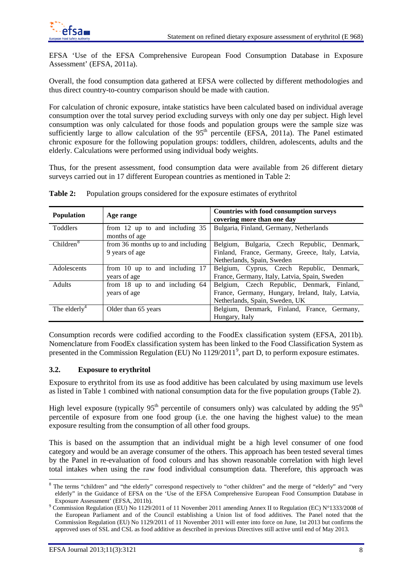

EFSA 'Use of the EFSA Comprehensive European Food Consumption Database in Exposure Assessment' (EFSA, 2011a).

Overall, the food consumption data gathered at EFSA were collected by different methodologies and thus direct country-to-country comparison should be made with caution.

For calculation of chronic exposure, intake statistics have been calculated based on individual average consumption over the total survey period excluding surveys with only one day per subject. High level consumption was only calculated for those foods and population groups were the sample size was sufficiently large to allow calculation of the  $95<sup>th</sup>$  percentile (EFSA, 2011a). The Panel estimated chronic exposure for the following population groups: toddlers, children, adolescents, adults and the elderly. Calculations were performed using individual body weights.

Thus, for the present assessment, food consumption data were available from 26 different dietary surveys carried out in 17 different European countries as mentioned in Table 2:

| <b>Population</b>        | Age range                                            | Countries with food consumption surveys<br>covering more than one day                                                             |
|--------------------------|------------------------------------------------------|-----------------------------------------------------------------------------------------------------------------------------------|
| <b>Toddlers</b>          | from 12 up to and including 35<br>months of age      | Bulgaria, Finland, Germany, Netherlands                                                                                           |
| Children <sup>8</sup>    | from 36 months up to and including<br>9 years of age | Belgium, Bulgaria, Czech Republic, Denmark,<br>Finland, France, Germany, Greece, Italy, Latvia,<br>Netherlands, Spain, Sweden     |
| Adolescents              | from 10 up to and including 17<br>years of age       | Belgium, Cyprus, Czech Republic, Denmark,<br>France, Germany, Italy, Latvia, Spain, Sweden                                        |
| <b>Adults</b>            | from 18 up to and including 64<br>years of age       | Belgium, Czech Republic, Denmark, Finland,<br>France, Germany, Hungary, Ireland, Italy, Latvia,<br>Netherlands, Spain, Sweden, UK |
| The elderly <sup>4</sup> | Older than 65 years                                  | Belgium, Denmark, Finland, France, Germany,<br>Hungary, Italy                                                                     |

**Table 2:** Population groups considered for the exposure estimates of erythritol

Consumption records were codified according to the FoodEx classification system (EFSA, 2011b). Nomenclature from FoodEx classification system has been linked to the Food Classification System as presented in the Commission Regulation (EU) No 112[9](#page-7-2)/2011<sup>9</sup>, part D, to perform exposure estimates.

#### <span id="page-7-0"></span>**3.2. Exposure to erythritol**

Exposure to erythritol from its use as food additive has been calculated by using maximum use levels as listed in Table 1 combined with national consumption data for the five population groups (Table 2).

High level exposure (typically  $95<sup>th</sup>$  percentile of consumers only) was calculated by adding the  $95<sup>th</sup>$ percentile of exposure from one food group (i.e. the one having the highest value) to the mean exposure resulting from the consumption of all other food groups.

This is based on the assumption that an individual might be a high level consumer of one food category and would be an average consumer of the others. This approach has been tested several times by the Panel in re-evaluation of food colours and has shown reasonable correlation with high level total intakes when using the raw food individual consumption data. Therefore, this approach was

<span id="page-7-1"></span> <sup>8</sup> The terms "children" and "the elderly" correspond respectively to "other children" and the merge of "elderly" and "very elderly" in the Guidance of EFSA on the 'Use of the EFSA Comprehensive European Food Consumption Database in

<span id="page-7-2"></span>Exposure Assessment' (EFSA, 2011b). <sup>9</sup> Commission Regulation (EU) No 1129/2011 of 11 November 2011 amending Annex II to Regulation (EC) N°1333/2008 of the European Parliament and of the Council establishing a Union list of food additives. The Panel noted that the Commission Regulation (EU) No 1129/2011 of 11 November 2011 will enter into force on June, 1st 2013 but confirms the approved uses of SSL and CSL as food additive as described in previous Directives still active until end of May 2013.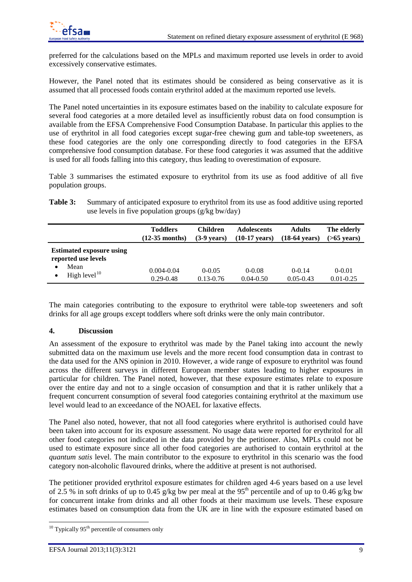

preferred for the calculations based on the MPLs and maximum reported use levels in order to avoid excessively conservative estimates.

However, the Panel noted that its estimates should be considered as being conservative as it is assumed that all processed foods contain erythritol added at the maximum reported use levels.

The Panel noted uncertainties in its exposure estimates based on the inability to calculate exposure for several food categories at a more detailed level as insufficiently robust data on food consumption is available from the EFSA Comprehensive Food Consumption Database. In particular this applies to the use of erythritol in all food categories except sugar-free chewing gum and table-top sweeteners, as these food categories are the only one corresponding directly to food categories in the EFSA comprehensive food consumption database. For these food categories it was assumed that the additive is used for all foods falling into this category, thus leading to overestimation of exposure.

Table 3 summarises the estimated exposure to erythritol from its use as food additive of all five population groups.

| Table 3: | Summary of anticipated exposure to erythritol from its use as food additive using reported |
|----------|--------------------------------------------------------------------------------------------|
|          | use levels in five population groups $(g/kg$ bw/day)                                       |

|                                                                                             | <b>Toddlers</b>                 | Children                    | <b>Adolescents</b>          | <b>Adults</b>             | The elderly                 |
|---------------------------------------------------------------------------------------------|---------------------------------|-----------------------------|-----------------------------|---------------------------|-----------------------------|
|                                                                                             | $(12-35 \text{ months})$        | $(3-9 \text{ years})$       | (10-17 vears)               | (18-64 vears)             | $($ >65 vears $)$           |
| <b>Estimated exposure using</b><br>reported use levels<br>Mean<br>٠<br>High level $10$<br>٠ | $0.004 - 0.04$<br>$0.29 - 0.48$ | $0 - 0.05$<br>$0.13 - 0.76$ | $0 - 0.08$<br>$0.04 - 0.50$ | $0-0.14$<br>$0.05 - 0.43$ | $0 - 0.01$<br>$0.01 - 0.25$ |

The main categories contributing to the exposure to erythritol were table-top sweeteners and soft drinks for all age groups except toddlers where soft drinks were the only main contributor.

#### <span id="page-8-0"></span>**4. Discussion**

An assessment of the exposure to erythritol was made by the Panel taking into account the newly submitted data on the maximum use levels and the more recent food consumption data in contrast to the data used for the ANS opinion in 2010. However, a wide range of exposure to erythritol was found across the different surveys in different European member states leading to higher exposures in particular for children. The Panel noted, however, that these exposure estimates relate to exposure over the entire day and not to a single occasion of consumption and that it is rather unlikely that a frequent concurrent consumption of several food categories containing erythritol at the maximum use level would lead to an exceedance of the NOAEL for laxative effects.

The Panel also noted, however, that not all food categories where erythritol is authorised could have been taken into account for its exposure assessment. No usage data were reported for erythritol for all other food categories not indicated in the data provided by the petitioner. Also, MPLs could not be used to estimate exposure since all other food categories are authorised to contain erythritol at the *quantum satis* level. The main contributor to the exposure to erythritol in this scenario was the food category non-alcoholic flavoured drinks, where the additive at present is not authorised.

The petitioner provided erythritol exposure estimates for children aged 4-6 years based on a use level of 2.5 % in soft drinks of up to 0.45 g/kg bw per meal at the 95<sup>th</sup> percentile and of up to 0.46 g/kg bw for concurrent intake from drinks and all other foods at their maximum use levels. These exposure estimates based on consumption data from the UK are in line with the exposure estimated based on

<span id="page-8-1"></span> $10$  Typically 95<sup>th</sup> percentile of consumers only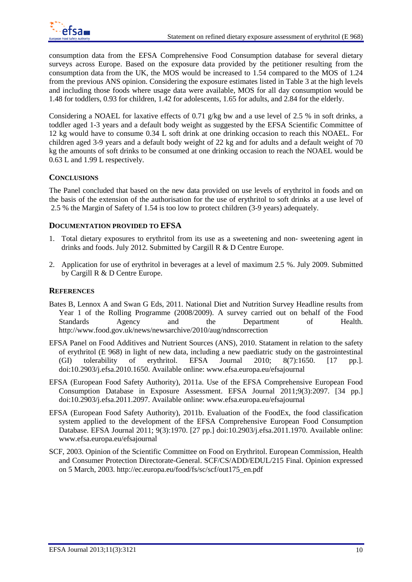consumption data from the EFSA Comprehensive Food Consumption database for several dietary surveys across Europe. Based on the exposure data provided by the petitioner resulting from the consumption data from the UK, the MOS would be increased to 1.54 compared to the MOS of 1.24 from the previous ANS opinion. Considering the exposure estimates listed in Table 3 at the high levels and including those foods where usage data were available, MOS for all day consumption would be 1.48 for toddlers, 0.93 for children, 1.42 for adolescents, 1.65 for adults, and 2.84 for the elderly.

Considering a NOAEL for laxative effects of 0.71 g/kg bw and a use level of 2.5 % in soft drinks, a toddler aged 1-3 years and a default body weight as suggested by the EFSA Scientific Committee of 12 kg would have to consume 0.34 L soft drink at one drinking occasion to reach this NOAEL. For children aged 3-9 years and a default body weight of 22 kg and for adults and a default weight of 70 kg the amounts of soft drinks to be consumed at one drinking occasion to reach the NOAEL would be 0.63 L and 1.99 L respectively.

## <span id="page-9-0"></span>**CONCLUSIONS**

<span id="page-9-1"></span>The Panel concluded that based on the new data provided on use levels of erythritol in foods and on the basis of the extension of the authorisation for the use of erythritol to soft drinks at a use level of 2.5 % the Margin of Safety of 1.54 is too low to protect children (3-9 years) adequately.

### **DOCUMENTATION PROVIDED TO EFSA**

- 1. Total dietary exposures to erythritol from its use as a sweetening and non- sweetening agent in drinks and foods. July 2012. Submitted by Cargill R & D Centre Europe.
- 2. Application for use of erythritol in beverages at a level of maximum 2.5 %. July 2009. Submitted by Cargill R & D Centre Europe.

### <span id="page-9-2"></span>**REFERENCES**

- Bates B, Lennox A and Swan G Eds, 2011. National Diet and Nutrition Survey Headline results from Year 1 of the Rolling Programme (2008/2009). A survey carried out on behalf of the Food Standards Agency and the Department of Health. http://www.food.gov.uk/news/newsarchive/2010/aug/ndnscorrection
- EFSA Panel on Food Additives and Nutrient Sources (ANS), 2010. Statament in relation to the safety of erythritol (E 968) in light of new data, including a new paediatric study on the gastrointestinal (GI) tolerability of erythritol. EFSA Journal 2010; 8(7):1650. [17 pp.]. doi:10.2903/j.efsa.2010.1650. Available online: www.efsa.europa.eu/efsajournal
- EFSA (European Food Safety Authority), 2011a. Use of the EFSA Comprehensive European Food Consumption Database in Exposure Assessment. EFSA Journal 2011;9(3):2097. [34 pp.] doi:10.2903/j.efsa.2011.2097. Available online: www.efsa.europa.eu/efsajournal
- EFSA (European Food Safety Authority), 2011b. Evaluation of the FoodEx, the food classification system applied to the development of the EFSA Comprehensive European Food Consumption Database. EFSA Journal 2011; 9(3):1970. [27 pp.] doi:10.2903/j.efsa.2011.1970. Available online: www.efsa.europa.eu/efsajournal
- SCF, 2003. Opinion of the Scientific Committee on Food on Erythritol. European Commission, Health and Consumer Protection Directorate-General. SCF/CS/ADD/EDUL/215 Final. Opinion expressed on 5 March, 2003. http://ec.europa.eu/food/fs/sc/scf/out175\_en.pdf